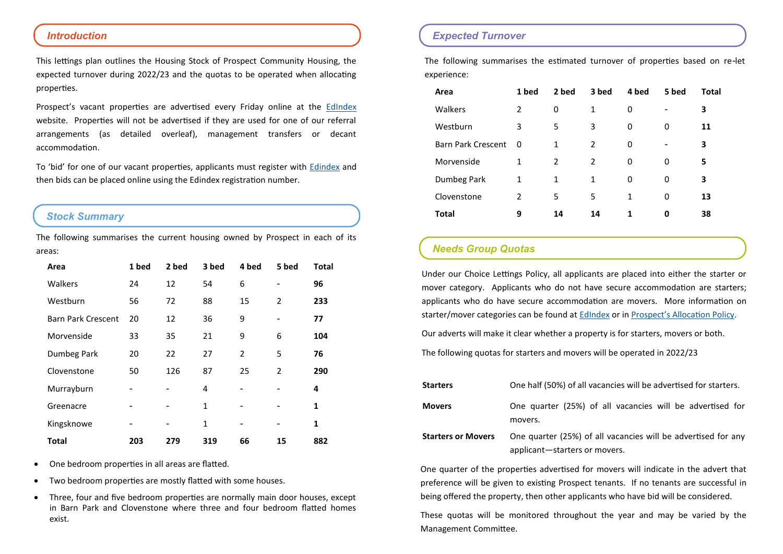#### *Introduction*

This lettings plan outlines the Housing Stock of Prospect Community Housing, the expected turnover during 2022/23 and the quotas to be operated when allocating properties.

Prospect's vacant properties are advertised every Friday online at the [EdIndex](https://edindexhousing.co.uk/) website. Properties will not be advertised if they are used for one of our referral arrangements (as detailed overleaf), management transfers or decant accommodation.

To 'bid' for one of our vacant properties, applicants must register with [Edindex](https://edindexhousing.co.uk/) and then bids can be placed online using the Edindex registration number.

### *Stock Summary*

The following summarises the current housing owned by Prospect in each of its areas:

| Area                      | 1 bed | 2 bed | 3 bed        | 4 bed          | 5 bed             | <b>Total</b> |
|---------------------------|-------|-------|--------------|----------------|-------------------|--------------|
| Walkers                   | 24    | 12    | 54           | 6              | $\qquad \qquad -$ | 96           |
| Westburn                  | 56    | 72    | 88           | 15             | 2                 | 233          |
| <b>Barn Park Crescent</b> | 20    | 12    | 36           | 9              |                   | 77           |
| Morvenside                | 33    | 35    | 21           | 9              | 6                 | 104          |
| Dumbeg Park               | 20    | 22    | 27           | $\overline{2}$ | 5                 | 76           |
| Clovenstone               | 50    | 126   | 87           | 25             | $\overline{2}$    | 290          |
| Murrayburn                |       |       | 4            |                |                   | 4            |
| Greenacre                 |       |       | $\mathbf{1}$ |                |                   | 1            |
| Kingsknowe                |       |       | 1            | $\overline{a}$ |                   | 1            |
| <b>Total</b>              | 203   | 279   | 319          | 66             | 15                | 882          |

- One bedroom properties in all areas are flatted.
- Two bedroom properties are mostly flatted with some houses.
- Three, four and five bedroom properties are normally main door houses, except in Barn Park and Clovenstone where three and four bedroom flatted homes exist.

#### *Expected Turnover*

The following summarises the estimated turnover of properties based on re-let experience:

| Area                      | 1 bed          | 2 bed | 3 bed | 4 bed | 5 bed | Total |
|---------------------------|----------------|-------|-------|-------|-------|-------|
| <b>Walkers</b>            | $\mathcal{P}$  | 0     | 1     | 0     | ۰     | 3     |
| Westburn                  | 3              | 5     | 3     | 0     | 0     | 11    |
| <b>Barn Park Crescent</b> | 0              | 1     | 2     | 0     |       | 3     |
| Morvenside                | 1              | 2     | 2     | 0     | 0     | 5     |
| Dumbeg Park               | 1              | 1     | 1     | 0     | 0     | 3     |
| Clovenstone               | $\mathfrak{p}$ | 5     | 5     | 1     | 0     | 13    |
| <b>Total</b>              | 9              | 14    | 14    | 1     | 0     | 38    |

## *Needs Group Quotas*

Under our Choice Lettings Policy, all applicants are placed into either the starter or mover category. Applicants who do not have secure accommodation are starters; applicants who do have secure accommodation are movers. More information on starter/mover categories can be found at [EdIndex](https://edindexhousing.co.uk/) or in [Prospect's Allocation Policy.](http://www.prospectch.org.uk/assets/000/000/567/HOU01__-_Allocations_original.pdf?1570010001)

Our adverts will make it clear whether a property is for starters, movers or both.

The following quotas for starters and movers will be operated in 2022/23

| <b>Starters</b>           | One half (50%) of all vacancies will be advertised for starters.                               |
|---------------------------|------------------------------------------------------------------------------------------------|
| <b>Movers</b>             | One quarter (25%) of all vacancies will be advertised for<br>movers.                           |
| <b>Starters or Movers</b> | One quarter (25%) of all vacancies will be advertised for any<br>applicant-starters or movers. |

One quarter of the properties advertised for movers will indicate in the advert that preference will be given to existing Prospect tenants. If no tenants are successful in being offered the property, then other applicants who have bid will be considered.

These quotas will be monitored throughout the year and may be varied by the Management Committee.